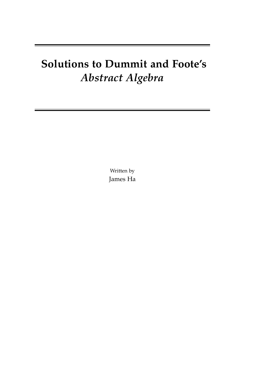# **Solutions to Dummit and Foote's** *Abstract Algebra*

Written by James Ha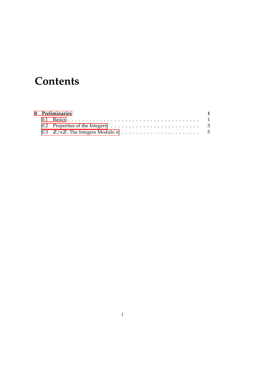## **Contents**

|  | 0 Preliminaries | $\blacksquare$ |
|--|-----------------|----------------|
|  |                 |                |
|  |                 |                |
|  |                 |                |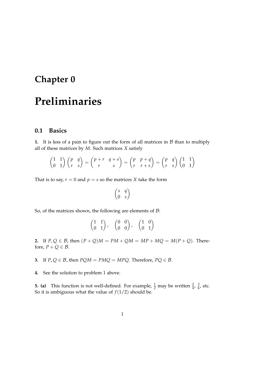### <span id="page-2-0"></span>**Chapter 0**

### **Preliminaries**

#### <span id="page-2-1"></span>**0.1 Basics**

**1.** It is less of a pain to figure out the form of all matrices in  $B$  than to multiply all of these matrices by *M*. Such matrices *X* satisfy

$$
\begin{pmatrix} 1 & 1 \\ 0 & 1 \end{pmatrix} \begin{pmatrix} p & q \\ r & s \end{pmatrix} = \begin{pmatrix} p+r & q+s \\ r & s \end{pmatrix} = \begin{pmatrix} p & p+q \\ r & r+s \end{pmatrix} = \begin{pmatrix} p & q \\ r & s \end{pmatrix} \begin{pmatrix} 1 & 1 \\ 0 & 1 \end{pmatrix}
$$

That is to say,  $r = 0$  and  $p = s$  so the matrices *X* take the form

$$
\begin{pmatrix} s & q \\ 0 & s \end{pmatrix}
$$

So, of the matrices shown, the following are elements of  $B$ :

$$
\begin{pmatrix} 1 & 1 \\ 0 & 1 \end{pmatrix}, \quad \begin{pmatrix} 0 & 0 \\ 0 & 0 \end{pmatrix}, \quad \begin{pmatrix} 1 & 0 \\ 0 & 1 \end{pmatrix}
$$

**2.** If  $P, Q \in \mathcal{B}$ , then  $(P + Q)M = PM + QM = MP + MQ = M(P + Q)$ . Therefore,  $P + Q \in \mathcal{B}$ .

**3.** If  $P, Q \in \mathcal{B}$ , then  $PQM = PMQ = MPQ$ . Therefore,  $PQ \in \mathcal{B}$ .

**4.** See the solution to problem 1 above.

**5. (a)** This function is not well-defined. For example,  $\frac{1}{2}$  may be written  $\frac{2}{4}$ ,  $\frac{3}{6}$  $\frac{3}{6}$ , etc. So it is ambiguous what the value of  $f(1/2)$  should be.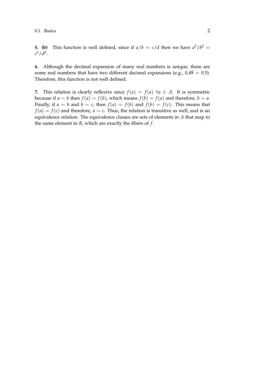**5. (b)** This function is well defined, since if  $a/b = c/d$  then we have  $a^2/b^2 =$  $c^2/d^2$ .

**6.** Although the decimal expansion of many real numbers is unique, there are some real numbers that have two different decimal expansions (e.g.,  $0.4\bar{9} = 0.5$ ). Therefore, this function is not well defined.

**7.** This relation is clearly reflexive since  $f(a) = f(a) \,\forall a \in A$ . It is symmetric because if *a* ∼ *b* then  $f(a) = f(b)$ , which means  $f(b) = f(a)$  and therefore,  $b \sim a$ . Finally, if *a* ∼ *b* and *b* ∼ *c*, then  $f(a) = f(b)$  and  $f(b) = f(c)$ . This means that *f*(*a*) = *f*(*c*) and therefore, *a* ∼ *c*. Thus, the relation is transitive as well, and is an equivalence relation. The equivalence classes are sets of elements in *A* that map to the same element in *B*, which are exactly the fibers of *f* .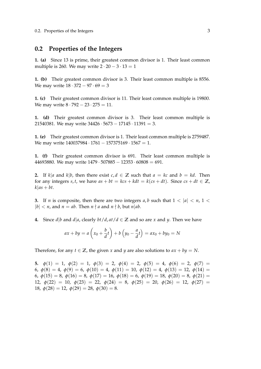#### <span id="page-4-0"></span>**0.2 Properties of the Integers**

**1. (a)** Since 13 is prime, their greatest common divisor is 1. Their least common multiple is 260. We may write  $2 \cdot 20 - 3 \cdot 13 = 1$ 

**1. (b)** Their greatest common divisor is 3. Their least common multiple is 8556. We may write  $18 \cdot 372 - 97 \cdot 69 = 3$ 

**1. (c)** Their greatest common divisor is 11. Their least common multiple is 19800. We may write  $8 \cdot 792 - 23 \cdot 275 = 11$ .

**1. (d)** Their greatest common divisor is 3. Their least common multiple is 21540381. We may write  $34426 \cdot 5673 - 17145 \cdot 11391 = 3$ .

**1. (e)** Their greatest common divisor is 1. Their least common multiple is 2759487. We may write 140037984 · 1761 − 157375169 · 1567 = 1.

**1. (f)** Their greatest common divisor is 691. Their least common multiple is 44693880. We may write  $1479 \cdot 507885 - 12353 \cdot 60808 = 691$ .

**2.** If  $k|a$  and  $k|b$ , then there exist  $c, d \in \mathbb{Z}$  such that  $a = kc$  and  $b = kd$ . Then for any integers *s*, *t*, we have  $as + bt = kcs + kdt = k(cs + dt)$ . Since  $cs + dt \in \mathbb{Z}$ ,  $k|as + bt$ .

**3.** If *n* is composite, then there are two integers *a*, *b* such that  $1 < |a| < n$ ,  $1 <$  $|b| < n$ , and  $n = ab$ . Then  $n \nmid a$  and  $n \nmid b$ , but  $n \mid ab$ .

**4.** Since *d*|*b* and *d*|*a*, clearly *bt*/*d*, *at*/*d*  $\in \mathbb{Z}$  and so are *x* and *y*. Then we have

$$
ax + by = a\left(x_0 + \frac{b}{d}t\right) + b\left(y_0 - \frac{a}{d}t\right) = ax_0 + by_0 = N
$$

Therefore, for any  $t \in \mathbb{Z}$ , the given *x* and *y* are also solutions to  $ax + by = N$ .

**5.**  $\phi(1) = 1$ ,  $\phi(2) = 1$ ,  $\phi(3) = 2$ ,  $\phi(4) = 2$ ,  $\phi(5) = 4$ ,  $\phi(6) = 2$ ,  $\phi(7) =$ 6,  $\phi(8) = 4$ ,  $\phi(9) = 6$ ,  $\phi(10) = 4$ ,  $\phi(11) = 10$ ,  $\phi(12) = 4$ ,  $\phi(13) = 12$ ,  $\phi(14) =$ 6,  $\phi(15) = 8$ ,  $\phi(16) = 8$ ,  $\phi(17) = 16$ ,  $\phi(18) = 6$ ,  $\phi(19) = 18$ ,  $\phi(20) = 8$ ,  $\phi(21) =$ 12,  $\phi(22) = 10$ ,  $\phi(23) = 22$ ,  $\phi(24) = 8$ ,  $\phi(25) = 20$ ,  $\phi(26) = 12$ ,  $\phi(27) =$ 18,  $\phi(28) = 12$ ,  $\phi(29) = 28$ ,  $\phi(30) = 8$ .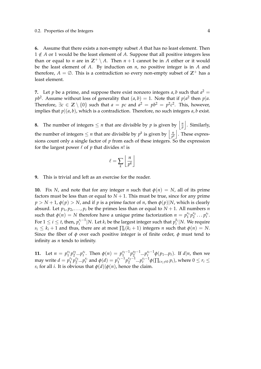#### 0.2. Properties of the Integers 4

**6.** Assume that there exists a non-empty subset *A* that has no least element. Then 1 ∉ *A* or 1 would be the least element of *A*. Suppose that all positive integers less than or equal to *n* are in  $\mathbb{Z}^+ \setminus A$ . Then  $n + 1$  cannot be in *A* either or it would be the least element of *A*. By induction on *n*, no positive integer is in *A* and therefore,  $A = \emptyset$ . This is a contradiction so every non-empty subset of  $\mathbb{Z}^+$  has a least element.

**7.** Let *p* be a prime, and suppose there exist nonzero integers *a*, *b* such that  $a^2 =$  $pb^2$ . Assume without loss of generality that  $(a, b) = 1$ . Note that if  $p|a^2$  then  $p|a$ . Therefore,  $\exists c \in \mathbb{Z} \setminus \{0\}$  such that  $a = pc$  and  $a^2 = pb^2 = p^2c^2$ . This, however, implies that  $p|(a, b)$ , which is a contradiction. Therefore, no such integers  $a, b$  exist.

**8.** The number of integers  $\leq n$  that are divisible by p is given by  $\left| \frac{n}{n} \right|$  $\frac{n}{p}$   $\Big\vert$  . Similarly, the number of integers  $\leq n$  that are divisible by  $p^k$  is given by  $\left| \frac{n}{n^k} \right|$  $\frac{n}{p^k}$ . These expressions count only a single factor of  $p$  from each of these integers. So the expression for the largest power  $\ell$  of  $p$  that divides  $n!$  is

$$
\ell = \sum_{k} \left\lfloor \frac{n}{p^k} \right\rfloor
$$

**9.** This is trivial and left as an exercise for the reader.

**10.** Fix *N*, and note that for any integer *n* such that  $\phi(n) = N$ , all of its prime factors must be less than or equal to  $N + 1$ . This must be true, since for any prime  $p > N + 1$ ,  $\phi(p) > N$ , and if *p* is a prime factor of *n*, then  $\phi(p)|N$ , which is clearly absurd. Let  $p_1, p_2, \ldots, p_t$  be the primes less than or equal to  $N + 1$ . All numbers *n* such that  $\phi(n) = N$  therefore have a unique prime factorization  $n = p_1^{s_1} p_2^{s_2} \dots p_t^{s_t}$ . For  $1 \leq i \leq t$ , then,  $p_i^{s_i-1}$  $\sum_{i}^{s_i-1}$  |*N*. Let  $k_i$  be the largest integer such that  $p_i^{k_i}$  $\binom{k_i}{i}$  N. We require  $s_i \leq k_i + 1$  and thus, there are at most  $\prod_i (k_i + 1)$  integers *n* such that  $\phi(n) = N$ . Since the fiber of  $\phi$  over each positive integer is of finite order,  $\phi$  must tend to infinity as *n* tends to infinity.

**11.** Let  $n = p_1^{s_1} p_2^{s_2} ... p_t^{s_t}$ . Then  $\phi(n) = p_1^{s_1-1} p_2^{s_2-1} ... p_t^{s_t-1} \phi(p_1...p_t)$ . If  $d|n$ , then we may write  $d = p_1^{r_1} p_2^{r_2} ... p_t^{r_t}$  and  $\phi(d) = p_1^{r_1-1} p_2^{r_2-1} ... p_t^{r_t-1} \phi(\prod_{i:r_i\neq 0} p_i)$ , where  $0 \le r_i \le$ *s*<sub>*i*</sub> for all *i*. It is obvious that  $\phi(d)|\phi(n)$ , hence the claim.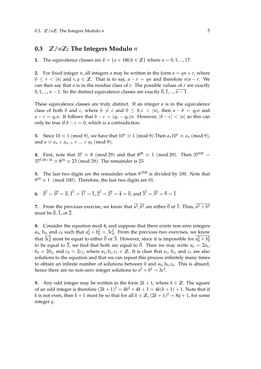#### <span id="page-6-0"></span>**0.3 Z**/*n***Z: The Integers Modulo** *n*

**1.** The equivalence classes are  $\overline{a} = \{a + 18k | k \in \mathbb{Z}\}$  where  $a = 0, 1, ..., 17$ .

**2.** For fixed integer *n*, all integers *a* may be written in the form  $a = qn + r$ , where  $0 \le r \le |n|$  and  $r, q \in \mathbb{Z}$ . That is to say,  $a - r = qn$  and therefore  $n|a - r$ . We can then say that *a* is in the residue class of *r*. The possible values of *r* are exactly 0, 1, ..., *n* − 1. So the distinct equivalence classes are exactly  $\overline{0}$ ,  $\overline{1}$ , ...,  $\overline{n-1}$ .

These equivalence classes are truly distinct. If an integer *a* is in the equivalence class of both *b* and *c*, where  $b \neq c$  and  $0 \leq b, c < |n|$ , then  $a - b = q_b n$  and *a* − *c* = *q*<sup>*c*</sup>*n*. It follows that *b* − *c* =  $(q_c - q_b)n$ . However,  $|b - c|$  <  $|n|$  so this can only be true if *b* − *c* = 0, which is a contradiction.

**3.** Since  $10 \equiv 1 \pmod{9}$ , we have that  $10^n \equiv 1 \pmod{9}$ . Then  $a_n 10^n \equiv a_n \pmod{9}$ , and  $a \equiv a_n + a_{n-1} + ... + a_0 \pmod{9}$ .

**4.** First, note that  $37 \equiv 8 \pmod{29}$  and that  $8^{28} \equiv 1 \pmod{29}$ . Then  $37^{100} =$  $37^{3\cdot 28+16} \equiv 8^{16} \equiv 23 \pmod{29}$ . The remainder is 23.

**5.** The last two digits are the remainder when 9<sup>1500</sup> is divided by 100. Note that  $9^{10} \equiv 1 \pmod{100}$ . Therefore, the last two digits are 01.

**6.**  $\overline{0}^2 = \overline{0^2} = \overline{0}$ ,  $\overline{1}^2 = \overline{1^2} = \overline{1}$ ,  $\overline{2}^2 = \overline{2^2} = \overline{4} = \overline{0}$ , and  $\overline{3}^2 = \overline{3^2} = \overline{9} = \overline{1}$ 

**7.** From the previous exercise, we know that  $a^2$ ,  $b^2$  are either  $\overline{0}$  or 1. Thus,  $a^2 + b^2$ must be  $\overline{0}$ ,  $\overline{1}$ , or  $\overline{2}$ .

**8.** Consider the equation mod 4, and suppose that there exists non-zero integers *a*<sub>0</sub>, *b*<sub>0</sub>, and *c*<sub>0</sub> such that  $a_0^2 + b_0^2 = 3c_0^2$ . From the previous two exercises, we know that  $3c_0^2$  must be equal to either  $\overline{0}$  or  $\overline{3}$ . However, since it is impossible for  $a_0^2 + b_0^2$ to be equal to  $\overline{3}$ , we find that both are equal to  $\overline{0}$ . Then we may write  $a_0 = 2a_1$ ,  $b_0 = 2b_1$ , and  $c_0 = 2c_1$ , where  $a_1, b_1, c_1 \in \mathbb{Z}$ . It is clear that  $a_1, b_1$ , and  $c_1$  are also solutions to the equation and that we can repeat this process infinitely many times to obtain an infinite number of solutions between 0 and  $a_0$ ,  $b_0$ ,  $c_0$ . This is absurd, hence there are no non-zero integer solutions to  $a^2 + b^2 = 3c^2$ .

**9.** Any odd integer may be written in the form  $2k + 1$ , where  $k \in \mathbb{Z}$ . The square of an odd integer is therefore  $(2k + 1)^2 = 4k^2 + 4k + 1 = 4k(k + 1) + 1$ . Note that if *k* is not even, then  $k + 1$  must be so that for all  $k \in \mathbb{Z}$ ,  $(2k + 1)^2 = 8q + 1$ , for some integer *q*.